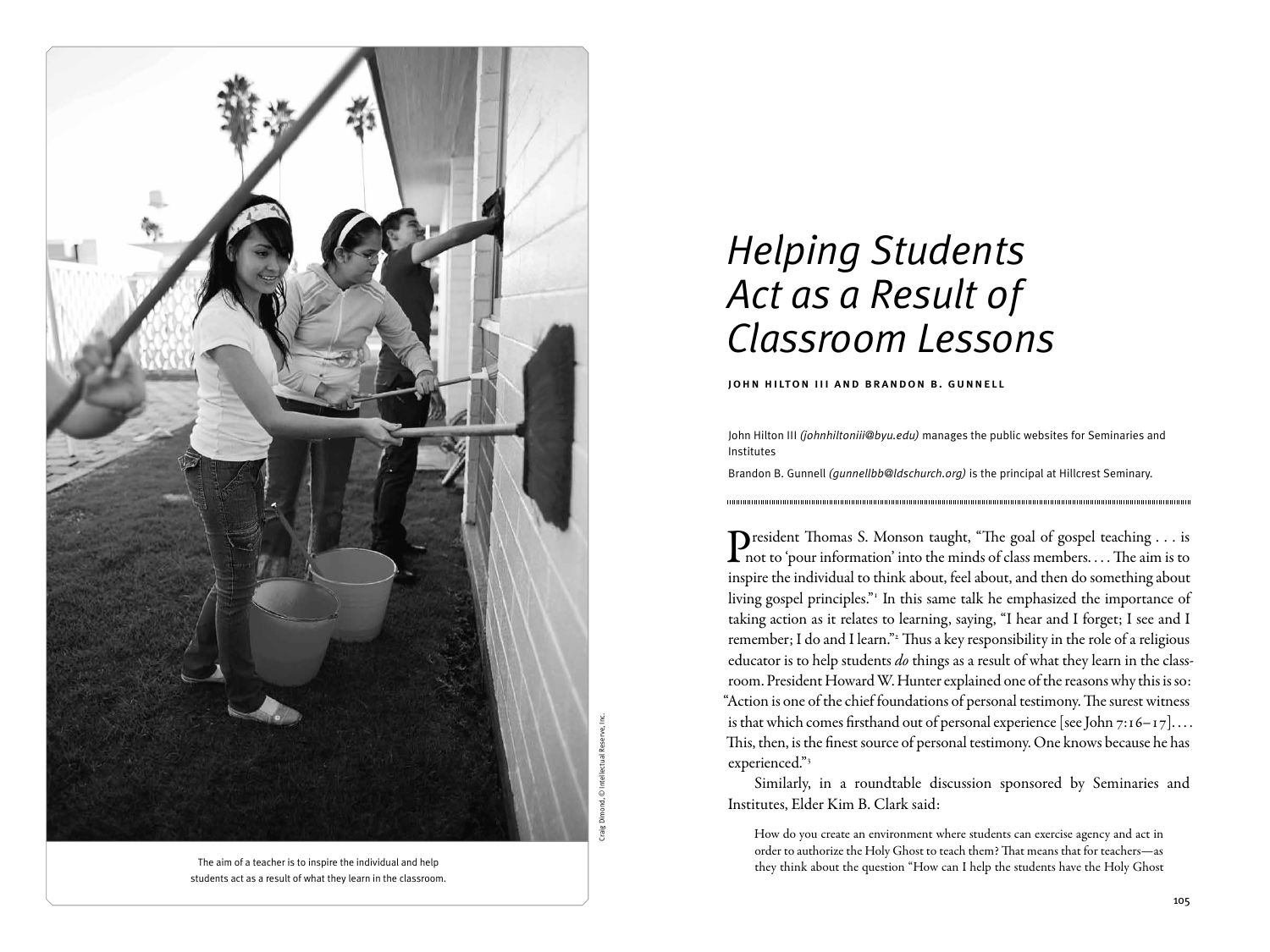

Craig Dimond, © Intellectual Reserve, Inc.

The aim of a teacher is to inspire the individual and help students act as a result of what they learn in the classroom.

# *Helping Students Act as a Result of Classroom Lessons*

john hilton iii and brandon b. gunnell

John Hilton III *(johnhiltoniii@byu.edu)* manages the public websites for Seminaries and Institutes

Brandon B. Gunnell *(gunnellbb@ldschurch.org)* is the principal at Hillcrest Seminary.

President Thomas S. Monson taught, "The goal of gospel teaching . . . is  $\Gamma$  not to 'pour information' into the minds of class members.... The aim is to inspire the individual to think about, feel about, and then do something about living gospel principles."<sup>1</sup> In this same talk he emphasized the importance of taking action as it relates to learning, saying, "I hear and I forget; I see and I remember; I do and I learn."<sup>2</sup> Thus a key responsibility in the role of a religious educator is to help students *do* things as a result of what they learn in the classroom. President Howard W. Hunter explained one of the reasons why this is so: "Action is one of the chief foundations of personal testimony. The surest witness is that which comes firsthand out of personal experience [see John 7:16-17].... This, then, is the finest source of personal testimony. One knows because he has experienced."3

Similarly, in a roundtable discussion sponsored by Seminaries and Institutes, Elder Kim B. Clark said:

How do you create an environment where students can exercise agency and act in order to authorize the Holy Ghost to teach them? That means that for teachers—as they think about the question "How can I help the students have the Holy Ghost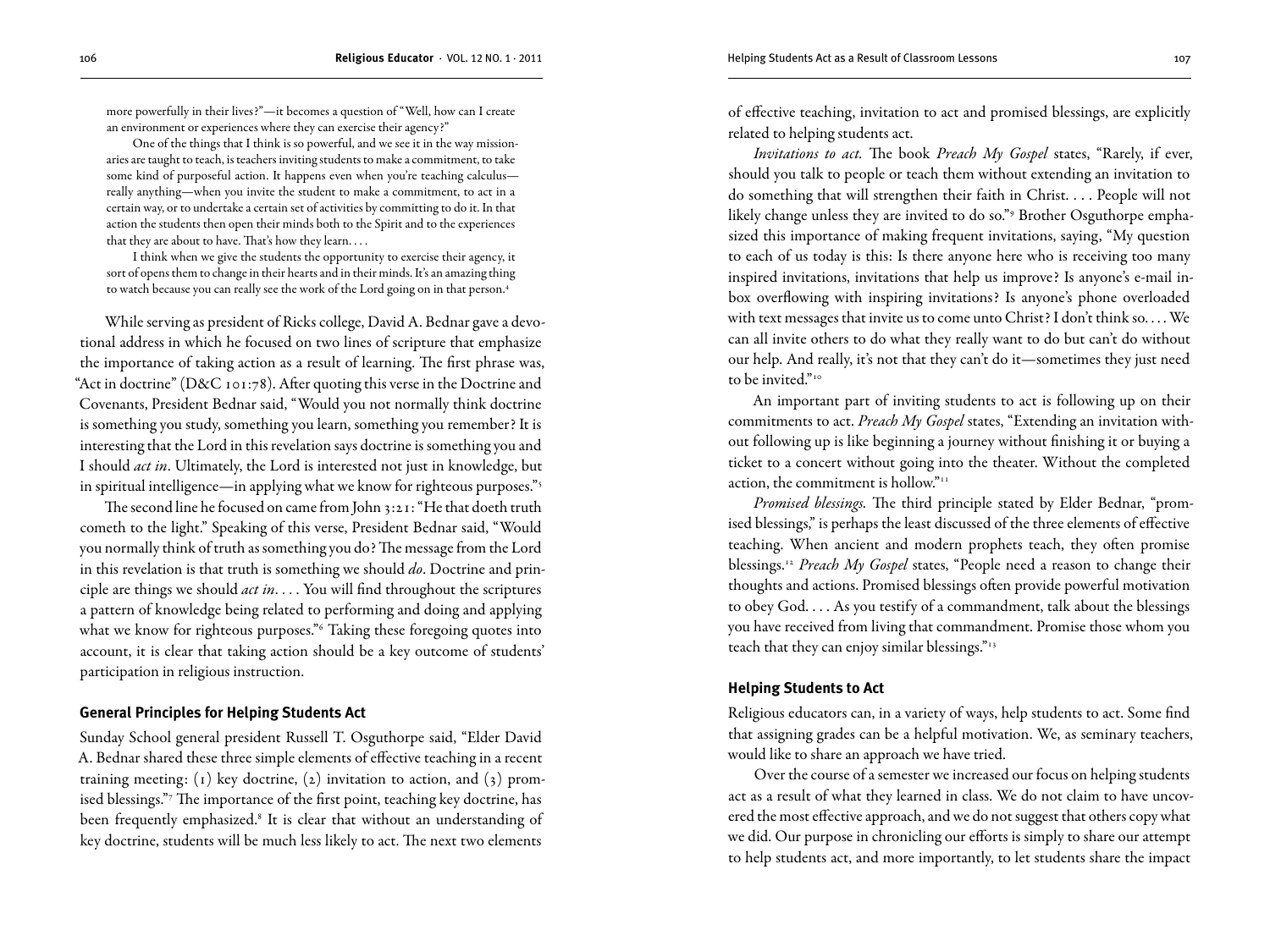more powerfully in their lives?"—it becomes a question of "Well, how can I create an environment or experiences where they can exercise their agency?"

One of the things that I think is so powerful, and we see it in the way missionaries are taught to teach, is teachers inviting students to make a commitment, to take some kind of purposeful action. It happens even when you're teaching calculus really anything—when you invite the student to make a commitment, to act in a certain way, or to undertake a certain set of activities by committing to do it. In that action the students then open their minds both to the Spirit and to the experiences that they are about to have. That's how they learn. . . .

I think when we give the students the opportunity to exercise their agency, it sort of opens them to change in their hearts and in their minds. It's an amazing thing to watch because you can really see the work of the Lord going on in that person.4

While serving as president of Ricks college, David A. Bednar gave a devotional address in which he focused on two lines of scripture that emphasize the importance of taking action as a result of learning. The first phrase was, "Act in doctrine" (D&C 101:78). After quoting this verse in the Doctrine and Covenants, President Bednar said, "Would you not normally think doctrine is something you study, something you learn, something you remember? It is interesting that the Lord in this revelation says doctrine is something you and I should *act in*. Ultimately, the Lord is interested not just in knowledge, but in spiritual intelligence—in applying what we know for righteous purposes."<sup>5</sup>

The second line he focused on came from John 3:21: "He that doeth truth cometh to the light." Speaking of this verse, President Bednar said, "Would you normally think of truth as something you do? The message from the Lord in this revelation is that truth is something we should *do*. Doctrine and principle are things we should *act in*. . . . You will find throughout the scriptures a pattern of knowledge being related to performing and doing and applying what we know for righteous purposes."6 Taking these foregoing quotes into account, it is clear that taking action should be a key outcome of students' participation in religious instruction.

#### **General Principles for Helping Students Act**

Sunday School general president Russell T. Osguthorpe said, "Elder David A. Bednar shared these three simple elements of effective teaching in a recent training meeting: (1) key doctrine, (2) invitation to action, and (3) promised blessings."7 The importance of the first point, teaching key doctrine, has been frequently emphasized.<sup>8</sup> It is clear that without an understanding of key doctrine, students will be much less likely to act. The next two elements

of effective teaching, invitation to act and promised blessings, are explicitly related to helping students act.

*Invitations to act.* The book *Preach My Gospel* states, "Rarely, if ever, should you talk to people or teach them without extending an invitation to do something that will strengthen their faith in Christ. . . . People will not likely change unless they are invited to do so."9 Brother Osguthorpe emphasized this importance of making frequent invitations, saying, "My question to each of us today is this: Is there anyone here who is receiving too many inspired invitations, invitations that help us improve? Is anyone's e-mail inbox overflowing with inspiring invitations? Is anyone's phone overloaded with text messages that invite us to come unto Christ? I don't think so. . . . We can all invite others to do what they really want to do but can't do without our help. And really, it's not that they can't do it—sometimes they just need to be invited."<sup>10</sup>

An important part of inviting students to act is following up on their commitments to act. *Preach My Gospel* states, "Extending an invitation without following up is like beginning a journey without finishing it or buying a ticket to a concert without going into the theater. Without the completed action, the commitment is hollow."11

*Promised blessings.* The third principle stated by Elder Bednar, "promised blessings," is perhaps the least discussed of the three elements of effective teaching. When ancient and modern prophets teach, they often promise blessings.12 *Preach My Gospel* states, "People need a reason to change their thoughts and actions. Promised blessings often provide powerful motivation to obey God. . . . As you testify of a commandment, talk about the blessings you have received from living that commandment. Promise those whom you teach that they can enjoy similar blessings."13

#### **Helping Students to Act**

Religious educators can, in a variety of ways, help students to act. Some find that assigning grades can be a helpful motivation. We, as seminary teachers, would like to share an approach we have tried.

Over the course of a semester we increased our focus on helping students act as a result of what they learned in class. We do not claim to have uncovered the most effective approach, and we do not suggest that others copy what we did. Our purpose in chronicling our efforts is simply to share our attempt to help students act, and more importantly, to let students share the impact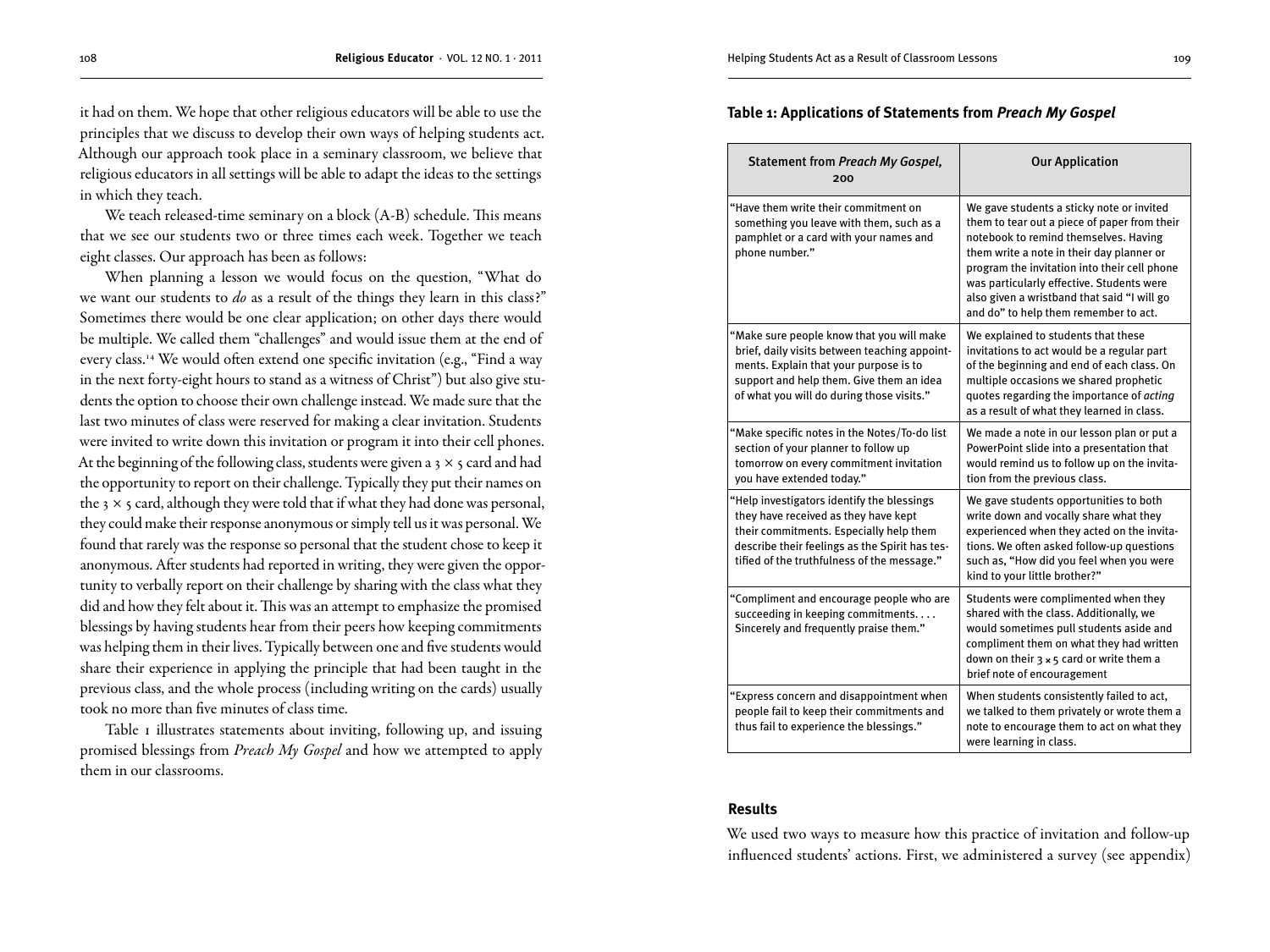it had on them. We hope that other religious educators will be able to use the principles that we discuss to develop their own ways of helping students act. Although our approach took place in a seminary classroom, we believe that religious educators in all settings will be able to adapt the ideas to the settings in which they teach.

We teach released-time seminary on a block (A-B) schedule. This means that we see our students two or three times each week. Together we teach eight classes. Our approach has been as follows:

When planning a lesson we would focus on the question, "What do we want our students to *do* as a result of the things they learn in this class?" Sometimes there would be one clear application; on other days there would be multiple. We called them "challenges" and would issue them at the end of every class.<sup>14</sup> We would often extend one specific invitation (e.g., "Find a way in the next forty-eight hours to stand as a witness of Christ") but also give students the option to choose their own challenge instead. We made sure that the last two minutes of class were reserved for making a clear invitation. Students were invited to write down this invitation or program it into their cell phones. At the beginning of the following class, students were given a 3  $\times$  5 card and had the opportunity to report on their challenge. Typically they put their names on the  $3 \times 5$  card, although they were told that if what they had done was personal, they could make their response anonymous or simply tell us it was personal. We found that rarely was the response so personal that the student chose to keep it anonymous. After students had reported in writing, they were given the opportunity to verbally report on their challenge by sharing with the class what they did and how they felt about it. This was an attempt to emphasize the promised blessings by having students hear from their peers how keeping commitments was helping them in their lives. Typically between one and five students would share their experience in applying the principle that had been taught in the previous class, and the whole process (including writing on the cards) usually took no more than five minutes of class time.

Table 1 illustrates statements about inviting, following up, and issuing promised blessings from *Preach My Gospel* and how we attempted to apply them in our classrooms.

#### **Table 1: Applications of Statements from** *Preach My Gospel*

| Statement from Preach My Gospel,<br>200                                                                                                                                                                                        | <b>Our Application</b>                                                                                                                                                                                                                                                                                                                                               |
|--------------------------------------------------------------------------------------------------------------------------------------------------------------------------------------------------------------------------------|----------------------------------------------------------------------------------------------------------------------------------------------------------------------------------------------------------------------------------------------------------------------------------------------------------------------------------------------------------------------|
| "Have them write their commitment on<br>something you leave with them, such as a<br>pamphlet or a card with your names and<br>phone number."                                                                                   | We gave students a sticky note or invited<br>them to tear out a piece of paper from their<br>notebook to remind themselves. Having<br>them write a note in their day planner or<br>program the invitation into their cell phone<br>was particularly effective. Students were<br>also given a wristband that said "I will go<br>and do" to help them remember to act. |
| "Make sure people know that you will make<br>brief, daily visits between teaching appoint-<br>ments. Explain that your purpose is to<br>support and help them. Give them an idea<br>of what you will do during those visits."  | We explained to students that these<br>invitations to act would be a regular part<br>of the beginning and end of each class. On<br>multiple occasions we shared prophetic<br>quotes regarding the importance of acting<br>as a result of what they learned in class.                                                                                                 |
| "Make specific notes in the Notes/To-do list<br>section of your planner to follow up<br>tomorrow on every commitment invitation<br>you have extended today."                                                                   | We made a note in our lesson plan or put a<br>PowerPoint slide into a presentation that<br>would remind us to follow up on the invita-<br>tion from the previous class.                                                                                                                                                                                              |
| "Help investigators identify the blessings<br>they have received as they have kept<br>their commitments. Especially help them<br>describe their feelings as the Spirit has tes-<br>tified of the truthfulness of the message." | We gave students opportunities to both<br>write down and vocally share what they<br>experienced when they acted on the invita-<br>tions. We often asked follow-up questions<br>such as, "How did you feel when you were<br>kind to your little brother?"                                                                                                             |
| "Compliment and encourage people who are<br>succeeding in keeping commitments<br>Sincerely and frequently praise them."                                                                                                        | Students were complimented when they<br>shared with the class. Additionally, we<br>would sometimes pull students aside and<br>compliment them on what they had written<br>down on their $3 \times 5$ card or write them a<br>brief note of encouragement                                                                                                             |
| "Express concern and disappointment when<br>people fail to keep their commitments and<br>thus fail to experience the blessings."                                                                                               | When students consistently failed to act,<br>we talked to them privately or wrote them a<br>note to encourage them to act on what they<br>were learning in class.                                                                                                                                                                                                    |

### **Results**

We used two ways to measure how this practice of invitation and follow-up influenced students' actions. First, we administered a survey (see appendix)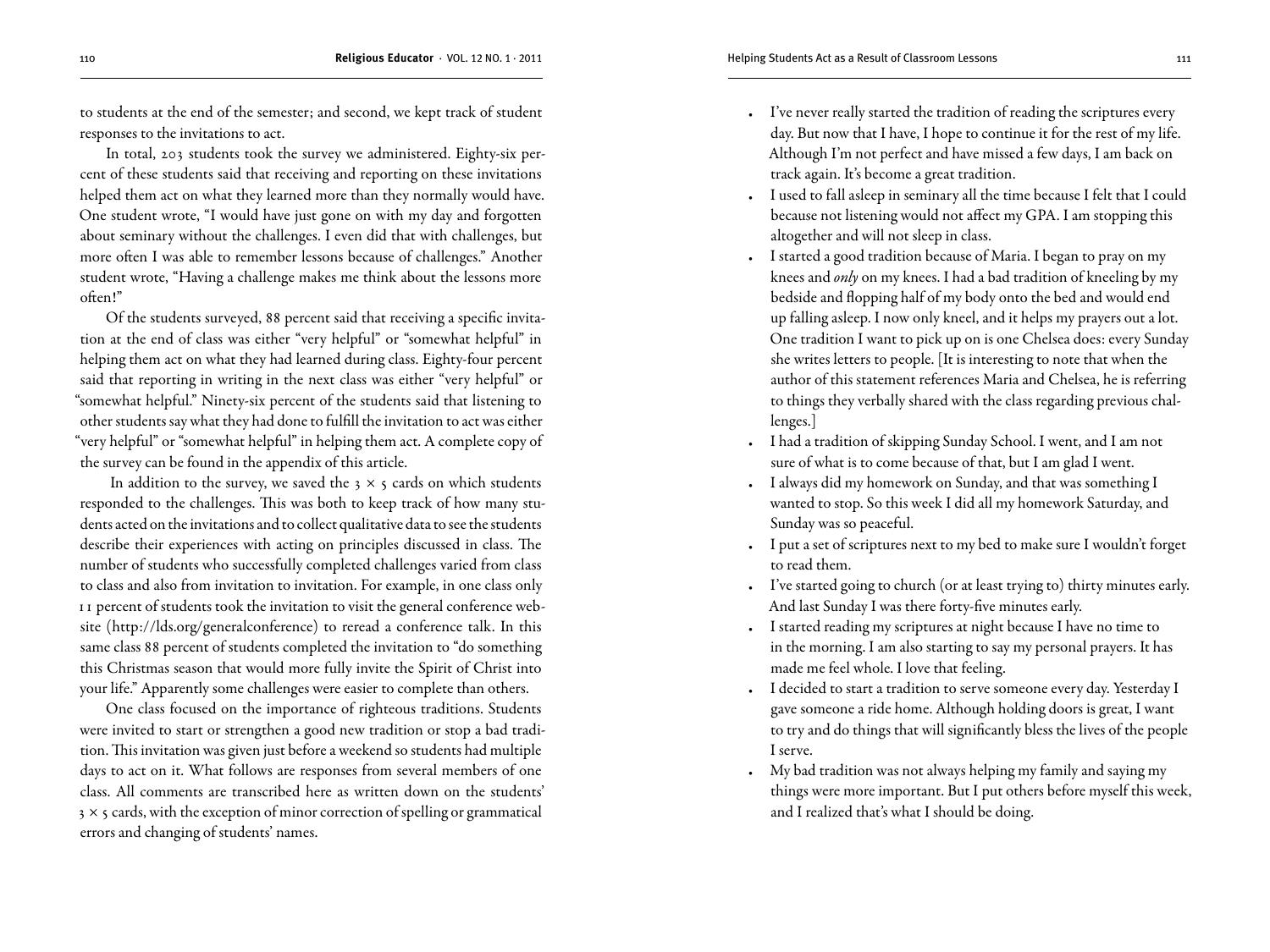to students at the end of the semester; and second, we kept track of student responses to the invitations to act.

In total, 203 students took the survey we administered. Eighty-six percent of these students said that receiving and reporting on these invitations helped them act on what they learned more than they normally would have. One student wrote, "I would have just gone on with my day and forgotten about seminary without the challenges. I even did that with challenges, but more often I was able to remember lessons because of challenges." Another student wrote, "Having a challenge makes me think about the lessons more often!"

Of the students surveyed, 88 percent said that receiving a specific invitation at the end of class was either "very helpful" or "somewhat helpful" in helping them act on what they had learned during class. Eighty-four percent said that reporting in writing in the next class was either "very helpful" or "somewhat helpful." Ninety-six percent of the students said that listening to other students say what they had done to fulfill the invitation to act was either "very helpful" or "somewhat helpful" in helping them act. A complete copy of the survey can be found in the appendix of this article.

In addition to the survey, we saved the  $3 \times 5$  cards on which students responded to the challenges. This was both to keep track of how many students acted on the invitations and to collect qualitative data to see the students describe their experiences with acting on principles discussed in class. The number of students who successfully completed challenges varied from class to class and also from invitation to invitation. For example, in one class only 11 percent of students took the invitation to visit the general conference website (http://lds.org/generalconference) to reread a conference talk. In this same class 88 percent of students completed the invitation to "do something this Christmas season that would more fully invite the Spirit of Christ into your life." Apparently some challenges were easier to complete than others.

One class focused on the importance of righteous traditions. Students were invited to start or strengthen a good new tradition or stop a bad tradition. This invitation was given just before a weekend so students had multiple days to act on it. What follows are responses from several members of one class. All comments are transcribed here as written down on the students'  $3 \times$  5 cards, with the exception of minor correction of spelling or grammatical errors and changing of students' names.

- I've never really started the tradition of reading the scriptures every day. But now that I have, I hope to continue it for the rest of my life. Although I'm not perfect and have missed a few days, I am back on track again. It's become a great tradition.
- • I used to fall asleep in seminary all the time because I felt that I could because not listening would not affect my GPA. I am stopping this altogether and will not sleep in class.
- • I started a good tradition because of Maria. I began to pray on my knees and *only* on my knees. I had a bad tradition of kneeling by my bedside and flopping half of my body onto the bed and would end up falling asleep. I now only kneel, and it helps my prayers out a lot. One tradition I want to pick up on is one Chelsea does: every Sunday she writes letters to people. [It is interesting to note that when the author of this statement references Maria and Chelsea, he is referring to things they verbally shared with the class regarding previous challenges.]
- • I had a tradition of skipping Sunday School. I went, and I am not sure of what is to come because of that, but I am glad I went.
- • I always did my homework on Sunday, and that was something I wanted to stop. So this week I did all my homework Saturday, and Sunday was so peaceful.
- • I put a set of scriptures next to my bed to make sure I wouldn't forget to read them.
- • I've started going to church (or at least trying to) thirty minutes early. And last Sunday I was there forty-five minutes early.
- • I started reading my scriptures at night because I have no time to in the morning. I am also starting to say my personal prayers. It has made me feel whole. I love that feeling.
- • I decided to start a tradition to serve someone every day. Yesterday I gave someone a ride home. Although holding doors is great, I want to try and do things that will significantly bless the lives of the people I serve.
- My bad tradition was not always helping my family and saying my things were more important. But I put others before myself this week, and I realized that's what I should be doing.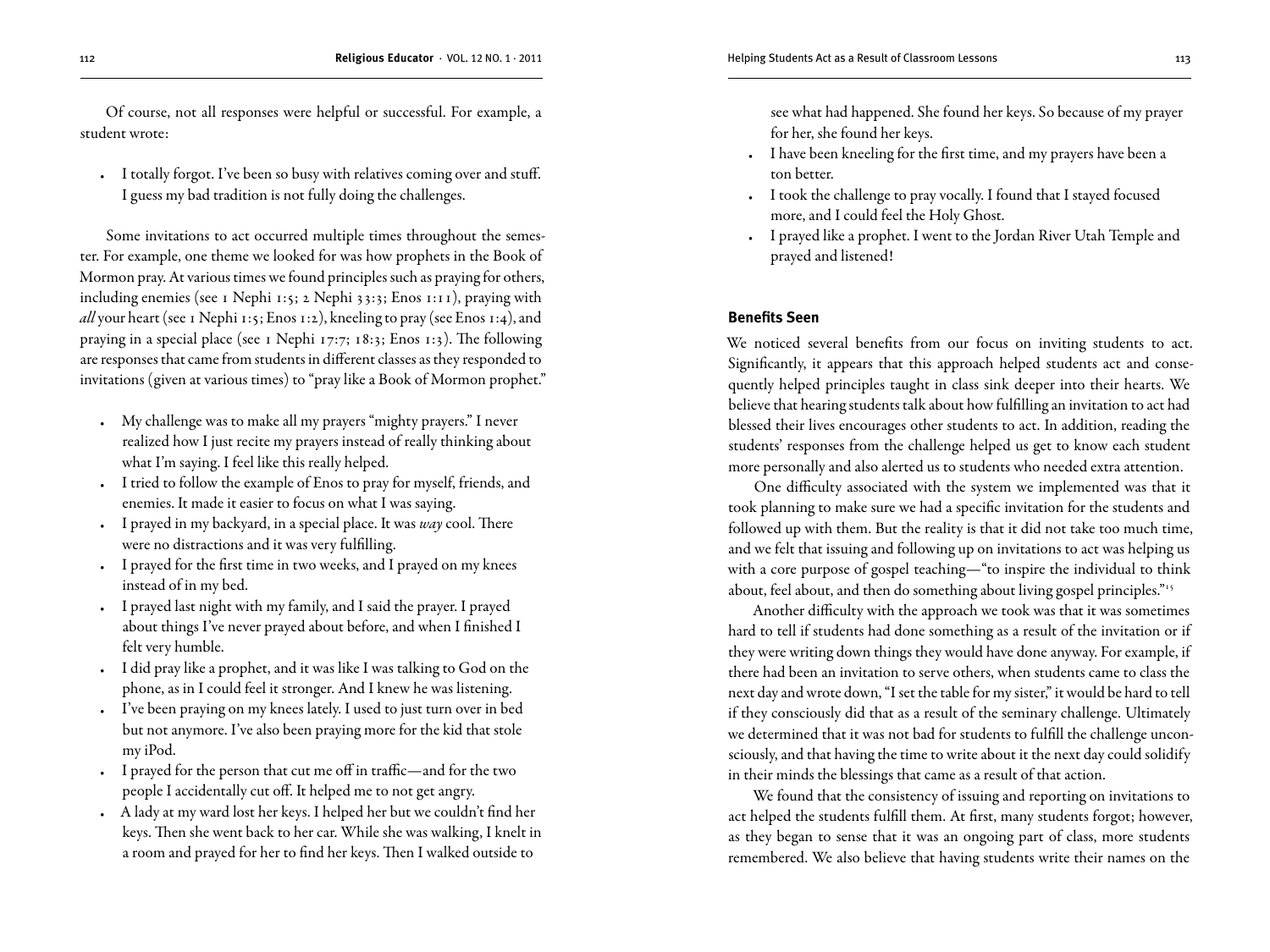Of course, not all responses were helpful or successful. For example, a student wrote:

• I totally forgot. I've been so busy with relatives coming over and stuff. I guess my bad tradition is not fully doing the challenges.

Some invitations to act occurred multiple times throughout the semester. For example, one theme we looked for was how prophets in the Book of Mormon pray. At various times we found principles such as praying for others, including enemies (see 1 Nephi 1:5; 2 Nephi 33:3; Enos 1:11), praying with *all* your heart (see 1 Nephi 1:5; Enos 1:2), kneeling to pray (see Enos 1:4), and praying in a special place (see 1 Nephi 17:7; 18:3; Enos 1:3). The following are responses that came from students in different classes as they responded to invitations (given at various times) to "pray like a Book of Mormon prophet."

- • My challenge was to make all my prayers "mighty prayers." I never realized how I just recite my prayers instead of really thinking about what I'm saying. I feel like this really helped.
- I tried to follow the example of Enos to pray for myself, friends, and enemies. It made it easier to focus on what I was saying.
- • I prayed in my backyard, in a special place. It was *way* cool. There were no distractions and it was very fulfilling.
- • I prayed for the first time in two weeks, and I prayed on my knees instead of in my bed.
- • I prayed last night with my family, and I said the prayer. I prayed about things I've never prayed about before, and when I finished I felt very humble.
- • I did pray like a prophet, and it was like I was talking to God on the phone, as in I could feel it stronger. And I knew he was listening.
- • I've been praying on my knees lately. I used to just turn over in bed but not anymore. I've also been praying more for the kid that stole my iPod.
- • I prayed for the person that cut me off in traffic—and for the two people I accidentally cut off. It helped me to not get angry.
- • A lady at my ward lost her keys. I helped her but we couldn't find her keys. Then she went back to her car. While she was walking, I knelt in a room and prayed for her to find her keys. Then I walked outside to

see what had happened. She found her keys. So because of my prayer for her, she found her keys.

- • I have been kneeling for the first time, and my prayers have been a ton better.
- • I took the challenge to pray vocally. I found that I stayed focused more, and I could feel the Holy Ghost.
- • I prayed like a prophet. I went to the Jordan River Utah Temple and prayed and listened!

#### **Benefits Seen**

We noticed several benefits from our focus on inviting students to act. Significantly, it appears that this approach helped students act and consequently helped principles taught in class sink deeper into their hearts. We believe that hearing students talk about how fulfilling an invitation to act had blessed their lives encourages other students to act. In addition, reading the students' responses from the challenge helped us get to know each student more personally and also alerted us to students who needed extra attention.

One difficulty associated with the system we implemented was that it took planning to make sure we had a specific invitation for the students and followed up with them. But the reality is that it did not take too much time, and we felt that issuing and following up on invitations to act was helping us with a core purpose of gospel teaching—"to inspire the individual to think about, feel about, and then do something about living gospel principles."<sup>15</sup>

Another difficulty with the approach we took was that it was sometimes hard to tell if students had done something as a result of the invitation or if they were writing down things they would have done anyway. For example, if there had been an invitation to serve others, when students came to class the next day and wrote down, "I set the table for my sister," it would be hard to tell if they consciously did that as a result of the seminary challenge. Ultimately we determined that it was not bad for students to fulfill the challenge unconsciously, and that having the time to write about it the next day could solidify in their minds the blessings that came as a result of that action.

We found that the consistency of issuing and reporting on invitations to act helped the students fulfill them. At first, many students forgot; however, as they began to sense that it was an ongoing part of class, more students remembered. We also believe that having students write their names on the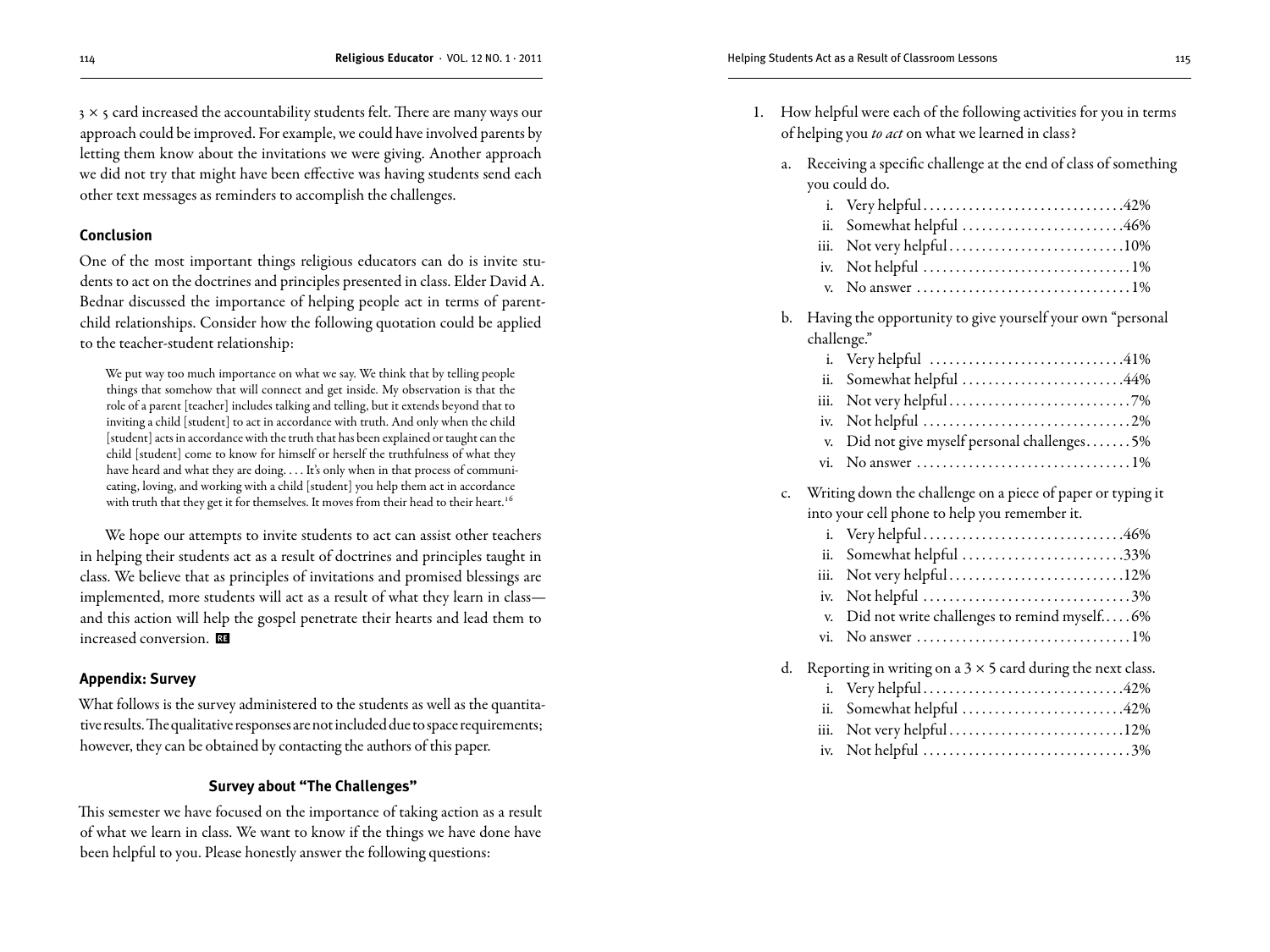$3 \times 5$  card increased the accountability students felt. There are many ways our approach could be improved. For example, we could have involved parents by letting them know about the invitations we were giving. Another approach we did not try that might have been effective was having students send each other text messages as reminders to accomplish the challenges.

#### **Conclusion**

One of the most important things religious educators can do is invite students to act on the doctrines and principles presented in class. Elder David A. Bednar discussed the importance of helping people act in terms of parentchild relationships. Consider how the following quotation could be applied to the teacher-student relationship:

We put way too much importance on what we say. We think that by telling people things that somehow that will connect and get inside. My observation is that the role of a parent [teacher] includes talking and telling, but it extends beyond that to inviting a child [student] to act in accordance with truth. And only when the child [student] acts in accordance with the truth that has been explained or taught can the child [student] come to know for himself or herself the truthfulness of what they have heard and what they are doing. . . . It's only when in that process of communicating, loving, and working with a child [student] you help them act in accordance with truth that they get it for themselves. It moves from their head to their heart.<sup>16</sup>

We hope our attempts to invite students to act can assist other teachers in helping their students act as a result of doctrines and principles taught in class. We believe that as principles of invitations and promised blessings are implemented, more students will act as a result of what they learn in class and this action will help the gospel penetrate their hearts and lead them to increased conversion.

#### **Appendix: Survey**

What follows is the survey administered to the students as well as the quantitative results. The qualitative responses are not included due to space requirements; however, they can be obtained by contacting the authors of this paper.

#### **Survey about "The Challenges"**

This semester we have focused on the importance of taking action as a result of what we learn in class. We want to know if the things we have done have been helpful to you. Please honestly answer the following questions:

- 1. How helpful were each of the following activities for you in terms of helping you *to act* on what we learned in class?
	- a. Receiving a specific challenge at the end of class of something you could do.

| ii. Somewhat helpful 46%                                                       |  |
|--------------------------------------------------------------------------------|--|
|                                                                                |  |
|                                                                                |  |
| v. No answer $\dots\dots\dots\dots\dots\dots\dots\dots\dots\dots\dots\dots1\%$ |  |

b. Having the opportunity to give yourself your own "personal challenge."

| ii. Somewhat helpful 44%                     |
|----------------------------------------------|
|                                              |
|                                              |
| v. Did not give myself personal challenges5% |

vi. No answer. . 1%

## c. Writing down the challenge on a piece of paper or typing it

|    | into your cell phone to help you remember it.                      |
|----|--------------------------------------------------------------------|
|    |                                                                    |
|    | ii. Somewhat helpful 33%                                           |
|    | iii. Not very helpful12%                                           |
|    |                                                                    |
|    | v. Did not write challenges to remind myself6%                     |
|    |                                                                    |
| d. | Reporting in writing on a $3 \times 5$ card during the next class. |
|    |                                                                    |
|    | ii. Somewhat helpful 42%                                           |

iv. Not helpful. . 3%